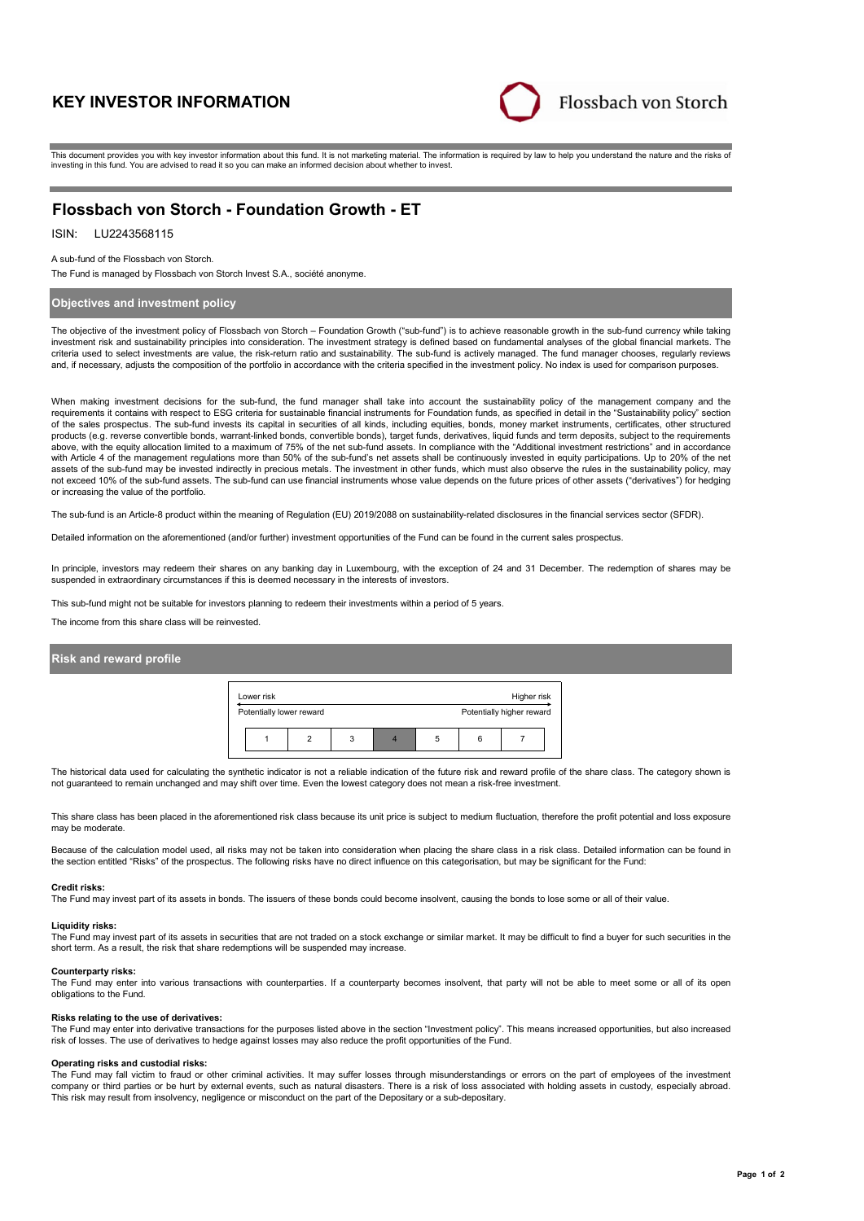# **KEY INVESTOR INFORMATION**



This document provides you with key investor information about this fund. It is not marketing material. The information is required by law to help you understand the nature and the risks of investing in this fund. You are advised to read it so you can make an informed decision about whether to invest.

# **Flossbach von Storch - Foundation Growth - ET**

# ISIN: LU2243568115

### A sub-fund of the Flossbach von Storch.

The Fund is managed by Flossbach von Storch Invest S.A., société anonyme.

## **Objectives and investment policy**

The objective of the investment policy of Flossbach von Storch – Foundation Growth ("sub-fund") is to achieve reasonable growth in the sub-fund currency while taking investment risk and sustainability principles into consideration. The investment strategy is defined based on fundamental analyses of the global financial markets. The criteria used to select investments are value, the risk-return ratio and sustainability. The sub-fund is actively managed. The fund manager chooses, regularly reviews and, if necessary, adjusts the composition of the portfolio in accordance with the criteria specified in the investment policy. No index is used for comparison purposes.

When making investment decisions for the sub-fund, the fund manager shall take into account the sustainability policy of the management company and the requirements it contains with respect to ESG criteria for sustainable financial instruments for Foundation funds, as specified in detail in the "Sustainability policy" section of the sales prospectus. The sub-fund invests its capital in securities of all kinds, including equities, bonds, money market instruments, certificates, other structured products (e.g. reverse convertible bonds, warrant-linked bonds, convertible bonds), target funds, derivatives, liquid funds and term deposits, subject to the requirements above, with the equity allocation limited to a maximum of 75% of the net sub-fund assets. In compliance with the "Additional investment restrictions" and in accordance with Article 4 of the management regulations more than 50% of the sub-fund's net assets shall be continuously invested in equity participations. Up to 20% of the net assets of the sub-fund may be invested indirectly in precious metals. The investment in other funds, which must also observe the rules in the sustainability policy, may not exceed 10% of the sub-fund assets. The sub-fund can use financial instruments whose value depends on the future prices of other assets ("derivatives") for hedging or increasing the value of the portfolio.

The sub-fund is an Article-8 product within the meaning of Regulation (EU) 2019/2088 on sustainability-related disclosures in the financial services sector (SFDR).

Detailed information on the aforementioned (and/or further) investment opportunities of the Fund can be found in the current sales prospectus.

In principle, investors may redeem their shares on any banking day in Luxembourg, with the exception of 24 and 31 December. The redemption of shares may be suspended in extraordinary circumstances if this is deemed necessary in the interests of investors.

This sub-fund might not be suitable for investors planning to redeem their investments within a period of 5 years.

The income from this share class will be reinvested.

### **Risk and reward profile**



The historical data used for calculating the synthetic indicator is not a reliable indication of the future risk and reward profile of the share class. The category shown is not guaranteed to remain unchanged and may shift over time. Even the lowest category does not mean a risk-free investment.

This share class has been placed in the aforementioned risk class because its unit price is subject to medium fluctuation, therefore the profit potential and loss exposure may be moderate

Because of the calculation model used, all risks may not be taken into consideration when placing the share class in a risk class. Detailed information can be found in the section entitled "Risks" of the prospectus. The following risks have no direct influence on this categorisation, but may be significant for the Fund:

### **Credit risks:**

The Fund may invest part of its assets in bonds. The issuers of these bonds could become insolvent, causing the bonds to lose some or all of their value.

#### **Liquidity risks:**

The Fund may invest part of its assets in securities that are not traded on a stock exchange or similar market. It may be difficult to find a buyer for such securities in the short term. As a result, the risk that share redemptions will be suspended may increase.

#### **Counterparty risks:**

The Fund may enter into various transactions with counterparties. If a counterparty becomes insolvent, that party will not be able to meet some or all of its open obligations to the Fund.

### **Risks relating to the use of derivatives:**

The Fund may enter into derivative transactions for the purposes listed above in the section "Investment policy". This means increased opportunities, but also increased risk of losses. The use of derivatives to hedge against losses may also reduce the profit opportunities of the Fund.

#### **Operating risks and custodial risks:**

The Fund may fall victim to fraud or other criminal activities. It may suffer losses through misunderstandings or errors on the part of employees of the investment company or third parties or be hurt by external events, such as natural disasters. There is a risk of loss associated with holding assets in custody, especially abroad. This risk may result from insolvency, negligence or misconduct on the part of the Depositary or a sub-depositary.